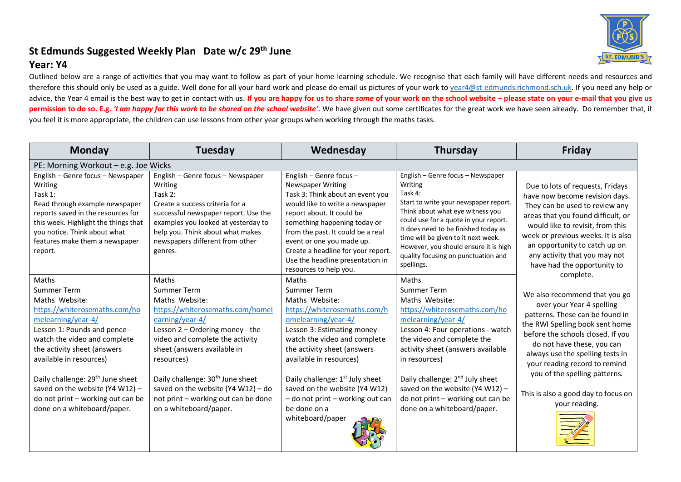## **St Edmunds Suggested Weekly Plan Date w/c 29th June**

## **Year: Y4**

Outlined below are a range of activities that you may want to follow as part of your home learning schedule. We recognise that each family will have different needs and resources and therefore this should only be used as a guide. Well done for all your hard work and please do email us pictures of your work t[o year4@st-edmunds.richmond.sch.uk.](mailto:year4@st-edmunds.richmond.sch.uk) If you need any help or advice, the Year 4 email is the best way to get in contact with us. If you are happy for us to share some of your work on the school website - please state on your e-mail that you give us **permission to do so. E.g.** *'I am happy for this work to be shared on the school website'.* We have given out some certificates for the great work we have seen already. Do remember that, if you feel it is more appropriate, the children can use lessons from other year groups when working through the maths tasks.

| <b>Monday</b>                                                                                                                                                                                                                                                                                                                                                                  | Tuesday                                                                                                                                                                                                                                                                                                                                                                 | Wednesday                                                                                                                                                                                                                                                                                                                                                                      | <b>Thursday</b>                                                                                                                                                                                                                                                                                                                                                              | <b>Friday</b>                                                                                                                                                                                                                                                                                                                                                                  |
|--------------------------------------------------------------------------------------------------------------------------------------------------------------------------------------------------------------------------------------------------------------------------------------------------------------------------------------------------------------------------------|-------------------------------------------------------------------------------------------------------------------------------------------------------------------------------------------------------------------------------------------------------------------------------------------------------------------------------------------------------------------------|--------------------------------------------------------------------------------------------------------------------------------------------------------------------------------------------------------------------------------------------------------------------------------------------------------------------------------------------------------------------------------|------------------------------------------------------------------------------------------------------------------------------------------------------------------------------------------------------------------------------------------------------------------------------------------------------------------------------------------------------------------------------|--------------------------------------------------------------------------------------------------------------------------------------------------------------------------------------------------------------------------------------------------------------------------------------------------------------------------------------------------------------------------------|
| PE: Morning Workout - e.g. Joe Wicks                                                                                                                                                                                                                                                                                                                                           |                                                                                                                                                                                                                                                                                                                                                                         |                                                                                                                                                                                                                                                                                                                                                                                |                                                                                                                                                                                                                                                                                                                                                                              |                                                                                                                                                                                                                                                                                                                                                                                |
| English - Genre focus - Newspaper<br>Writing<br>Task 1:<br>Read through example newspaper<br>reports saved in the resources for<br>this week. Highlight the things that<br>you notice. Think about what<br>features make them a newspaper<br>report.                                                                                                                           | English - Genre focus - Newspaper<br>Writing<br>Task 2:<br>Create a success criteria for a<br>successful newspaper report. Use the<br>examples you looked at yesterday to<br>help you. Think about what makes<br>newspapers different from other<br>genres.                                                                                                             | English - Genre focus -<br><b>Newspaper Writing</b><br>Task 3: Think about an event you<br>would like to write a newspaper<br>report about. It could be<br>something happening today or<br>from the past. It could be a real<br>event or one you made up.<br>Create a headline for your report.<br>Use the headline presentation in<br>resources to help you.                  | English - Genre focus - Newspaper<br>Writing<br>Task 4:<br>Start to write your newspaper report.<br>Think about what eye witness you<br>could use for a quote in your report.<br>It does need to be finished today as<br>time will be given to it next week.<br>However, you should ensure it is high<br>quality focusing on punctuation and<br>spellings.                   | Due to lots of requests, Fridays<br>have now become revision days.<br>They can be used to review any<br>areas that you found difficult, or<br>would like to revisit, from this<br>week or previous weeks. It is also<br>an opportunity to catch up on<br>any activity that you may not<br>have had the opportunity to                                                          |
| Maths<br>Summer Term<br>Maths Website:<br>https://whiterosemaths.com/ho<br>melearning/year-4/<br>Lesson 1: Pounds and pence -<br>watch the video and complete<br>the activity sheet (answers<br>available in resources)<br>Daily challenge: 29 <sup>th</sup> June sheet<br>saved on the website (Y4 W12) -<br>do not print - working out can be<br>done on a whiteboard/paper. | Maths<br>Summer Term<br>Maths Website:<br>https://whiterosemaths.com/homel<br>earning/year-4/<br>Lesson 2 - Ordering money - the<br>video and complete the activity<br>sheet (answers available in<br>resources)<br>Daily challenge: 30 <sup>th</sup> June sheet<br>saved on the website (Y4 W12) - do<br>not print - working out can be done<br>on a whiteboard/paper. | Maths<br>Summer Term<br>Maths Website:<br>https://whiterosemaths.com/h<br>omelearning/year-4/<br>Lesson 3: Estimating money-<br>watch the video and complete<br>the activity sheet (answers<br>available in resources)<br>Daily challenge: 1 <sup>st</sup> July sheet<br>saved on the website (Y4 W12)<br>- do not print - working out can<br>be done on a<br>whiteboard/paper | Maths<br>Summer Term<br>Maths Website:<br>https://whiterosemaths.com/ho<br>melearning/year-4/<br>Lesson 4: Four operations - watch<br>the video and complete the<br>activity sheet (answers available<br>in resources)<br>Daily challenge: 2 <sup>nd</sup> July sheet<br>saved on the website (Y4 W12) -<br>do not print - working out can be<br>done on a whiteboard/paper. | complete.<br>We also recommend that you go<br>over your Year 4 spelling<br>patterns. These can be found in<br>the RWI Spelling book sent home<br>before the schools closed. If you<br>do not have these, you can<br>always use the spelling tests in<br>your reading record to remind<br>you of the spelling patterns.<br>This is also a good day to focus on<br>your reading. |